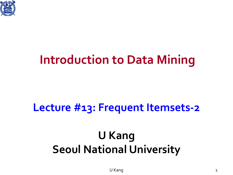

#### **Introduction to Data Mining**

#### **Lecture #13: Frequent Itemsets-2**

#### **U Kang Seoul National University**

U Kang 1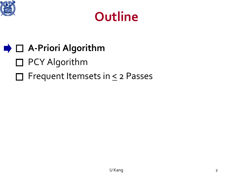

#### **Outline**

#### **A-Priori Algorithm**

- □ PCY Algorithm
- $\Box$  Frequent Itemsets in  $\leq$  2 Passes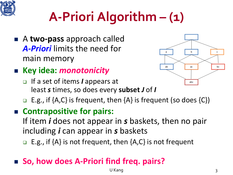

## **A-Priori Algorithm – (1)**

 A **two-pass** approach called *A-Priori* limits the need for main memory

#### **Key idea:** *monotonicity*

 If a set of items *I* appears at least *s* times, so does every **subset** *J* of *I*



**E.g., if {A,C}** is frequent, then  ${A}$  is frequent (so does  ${C}$ )

#### ■ Contrapositive for pairs:

If item *i* does not appear in *s* baskets, then no pair including *i* can appear in *s* baskets

**E.g., if {A} is not frequent, then {A,C} is not frequent** 

#### ■ So, how does A-Priori find freq. pairs?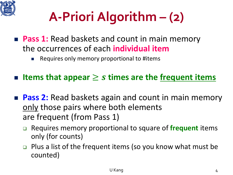

## **A-Priori Algorithm – (2)**

- **Pass 1:** Read baskets and count in main memory the occurrences of each **individual item**
	- Requires only memory proportional to #items
- **Items that appear** ≥ **times are the frequent items**
- **Pass 2:** Read baskets again and count in main memory only those pairs where both elements are frequent (from Pass 1)
	- Requires memory proportional to square of **frequent** items only (for counts)
	- $\Box$  Plus a list of the frequent items (so you know what must be counted)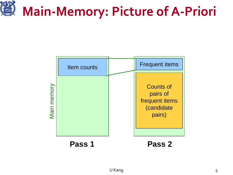# **Main-Memory: Picture of A-Priori**

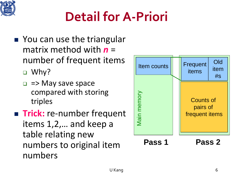

## **Detail for A-Priori**

- You can use the triangular matrix method with *n* = number of frequent items
	- □ Why?
	- $\Box$  => May save space compared with storing triples
- **Trick:** re-number frequent items 1,2,… and keep a table relating new numbers to original item numbers

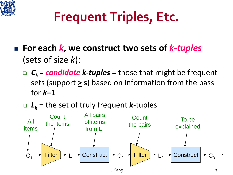

## **Frequent Triples, Etc.**

- For each *k*, we construct two sets of *k*-*tuples* (sets of size *k*):
	- *Ck* = *candidate k-tuples* = those that might be frequent sets (support **> s**) based on information from the pass for *k***–1**

*Lk* = the set of truly frequent *k*-tuples

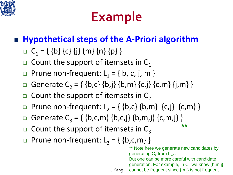

### **Example**

#### **Hypothetical steps of the A-Priori algorithm**

- $C_1 = \{ \{b\} \{c\} \{j\} \{m\} \{n\} \{p\} \}$
- $\Box$  Count the support of itemsets in C<sub>1</sub>
- **Prune non-frequent:**  $L_1 = \{ b, c, j, m \}$
- Generate C<sub>2</sub> = { {b,c} {b,j} {b,m} {c,j} {c,m} {j,m} }
- $\Box$  Count the support of itemsets in C<sub>2</sub>
- **p** Prune non-frequent:  $L_2 = \{ \{b,c\} \{b,m\} \{c,j\} \{c,m\} \}$
- Generate  $C_3 = \{ \{b,c,m\} \{b,c,j\} \{b,m,j\} \{c,m,j\} \}$
- $\Box$  Count the support of itemsets in C<sub>3</sub>
- **Prune non-frequent:**  $L_3 = \{ \{b,c,m\} \}$

**\*\*** Note here we generate new candidates by generating  $C_k$  from  $L_{k-1}$ . But one can be more careful with candidate generation. For example, in  $C_3$  we know  $\{b,m,j\}$ 

**\*\***

U Kang cannot be frequent since {m,j} is not frequent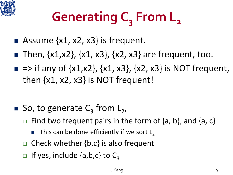

# Generating C<sub>2</sub> From L<sub>2</sub>

- Assume  $\{x1, x2, x3\}$  is frequent.
- **Then,**  $\{x1, x2\}$ **,**  $\{x1, x3\}$ **,**  $\{x2, x3\}$  **are frequent, too.**
- $\blacksquare$  => if any of {x1,x2}, {x1, x3}, {x2, x3} is NOT frequent, then  $\{x1, x2, x3\}$  is NOT frequent!

- So, to generate  $C_3$  from  $L_2$ ,
	- $\Box$  Find two frequent pairs in the form of  $\{a, b\}$ , and  $\{a, c\}$ 
		- This can be done efficiently if we sort  $L<sub>2</sub>$
	- $\Box$  Check whether {b,c} is also frequent
	- **If yes, include {a,b,c} to C**<sub>3</sub>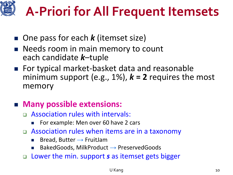# **A-Priori for All Frequent Itemsets**

- One pass for each *k* (itemset size)
- **Needs room in main memory to count** each candidate *k*–tuple
- For typical market-basket data and reasonable minimum support (e.g.,  $1\%$ ),  $k = 2$  requires the most memory

#### **Many possible extensions:**

- Association rules with intervals:
	- For example: Men over 60 have 2 cars
- □ Association rules when items are in a taxonomy
	- Bread, Butter  $\rightarrow$  FruitJam
	- BakedGoods, MilkProduct  $\rightarrow$  PreservedGoods
- Lower the min. support *s* as itemset gets bigger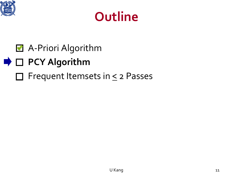

#### **Outline**

- A-Priori Algorithm
- **D PCY Algorithm** 
	- $\Box$  Frequent Itemsets in  $\leq$  2 Passes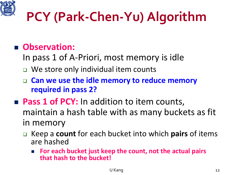

## **PCY (Park-Chen-Yu) Algorithm**

#### **Observation:**

- In pass 1 of A-Priori, most memory is idle
- □ We store only individual item counts
- **Can we use the idle memory to reduce memory required in pass 2?**
- **Pass 1 of PCY:** In addition to item counts, maintain a hash table with as many buckets as fit in memory
	- Keep a **count** for each bucket into which **pairs** of items are hashed
		- **For each bucket just keep the count, not the actual pairs that hash to the bucket!**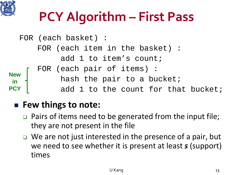

## **PCY Algorithm – First Pass**

```
FOR (each basket) :
      FOR (each item in the basket) :
           add 1 to item's count;
      FOR (each pair of items) :
           hash the pair to a bucket;
           add 1 to the count for that bucket;
New 
in 
PCY
```
#### ■ Few things to note:

- $\Box$  Pairs of items need to be generated from the input file; they are not present in the file
- $\Box$  We are not just interested in the presence of a pair, but we need to see whether it is present at least *s* (support) times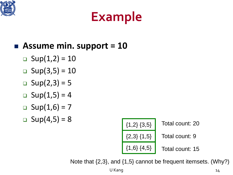

#### **Example**

#### **Assume min. support = 10**

- **D** Sup $(1,2) = 10$
- $\Box$  Sup(3,5) = 10
- **D** Sup $(2,3) = 5$
- **D** Sup $(1,5) = 4$
- □ Sup $(1,6) = 7$
- **a** Sup(4,5) = 8  $\left\{ \begin{array}{c} (1,2) \{3,5\} \end{array} \right\}$



Note that {2,3}, and {1,5} cannot be frequent itemsets. (Why?)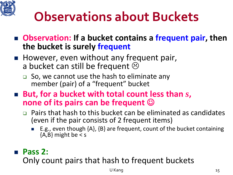

#### **Observations about Buckets**

- Observation: If a bucket contains a frequent pair, then **the bucket is surely frequent**
- **However, even without any frequent pair,** a bucket can still be frequent  $\odot$ 
	- $\Box$  So, we cannot use the hash to eliminate any member (pair) of a "frequent" bucket
- But, for a bucket with total count less than *s*, **none of its pairs can be frequent** 
	- $\Box$  Pairs that hash to this bucket can be eliminated as candidates (even if the pair consists of 2 frequent items)
		- E.g., even though {A}, {B} are frequent, count of the bucket containing  ${A,B}$  might be < s

#### **Pass 2:**

Only count pairs that hash to frequent buckets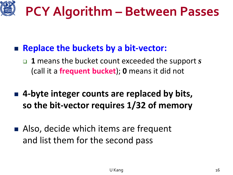

- **Replace the buckets by a bit-vector:**
	- **1** means the bucket count exceeded the support *s* (call it a **frequent bucket**); **0** means it did not
- 4-byte integer counts are replaced by bits, **so the bit-vector requires 1/32 of memory**
- Also, decide which items are frequent and list them for the second pass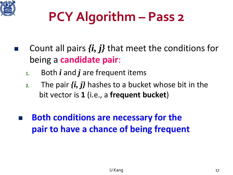

## **PCY Algorithm – Pass 2**

- Count all pairs *{i, j}* that meet the conditions for being a **candidate pair**:
	- **1.** Both *i* and *j* are frequent items
	- **2.** The pair *{i, j}* hashes to a bucket whose bit in the bit vector is **1** (i.e., a **frequent bucket**)
	- **Both conditions are necessary for the pair to have a chance of being frequent**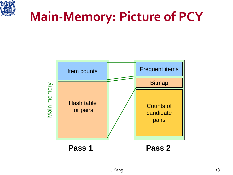

#### **Main-Memory: Picture of PCY**

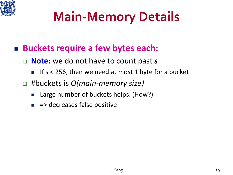

### **Main-Memory Details**

- **Buckets require a few bytes each:**
	- **Note:** we do not have to count past *s*
		- If s < 256, then we need at most 1 byte for a bucket
	- #buckets is *O(main-memory size)*
		- Large number of buckets helps. (How?)
		- $\blacksquare$  => decreases false positive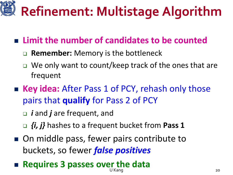# **Refinement: Multistage Algorithm**

#### **Limit the number of candidates to be counted**

- **Remember:** Memory is the bottleneck
- □ We only want to count/keep track of the ones that are frequent
- **Key idea:** After Pass 1 of PCY, rehash only those pairs that **qualify** for Pass 2 of PCY
	- *i* and *j* are frequent, and
	- *{i, j}* hashes to a frequent bucket from **Pass 1**
- On middle pass, fewer pairs contribute to buckets, so fewer *false positives*

#### U Kang 2022 and 2022 and 2022 and 2022 and 2022 and 2022 and 2023 and 2022 and 20 **Requires 3 passes over the data**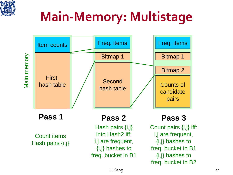

## **Main-Memory: Multistage**



U Kang 21

freq. bucket in B2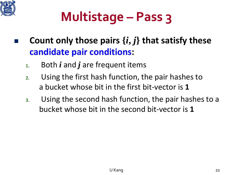

## **Multistage – Pass 3**

- **Count only those pairs**  $\{i, j\}$  **that satisfy these candidate pair conditions:**
	- **1.** Both *i* and *j* are frequent items
	- **2.** Using the first hash function, the pair hashes to a bucket whose bit in the first bit-vector is **1**
	- **3.** Using the second hash function, the pair hashes to a bucket whose bit in the second bit-vector is **1**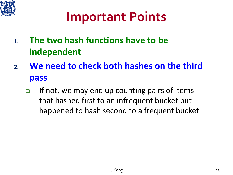

#### **Important Points**

- **1. The two hash functions have to be independent**
- **2. We need to check both hashes on the third pass**
	- If not, we may end up counting pairs of items that hashed first to an infrequent bucket but happened to hash second to a frequent bucket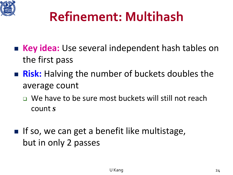

#### **Refinement: Multihash**

- Key idea: Use several independent hash tables on the first pass
- **Risk:** Halving the number of buckets doubles the average count
	- □ We have to be sure most buckets will still not reach count *s*
- $\blacksquare$  If so, we can get a benefit like multistage, but in only 2 passes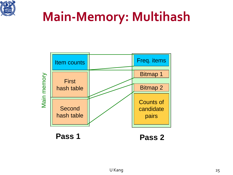

#### **Main-Memory: Multihash**

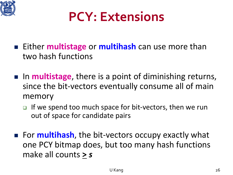

#### **PCY: Extensions**

- **Either multistage** or **multihash** can use more than two hash functions
- In **multistage**, there is a point of diminishing returns, since the bit-vectors eventually consume all of main memory
	- $\Box$  If we spend too much space for bit-vectors, then we run out of space for candidate pairs
- **For multihash, the bit-vectors occupy exactly what** one PCY bitmap does, but too many hash functions make all counts **>** *s*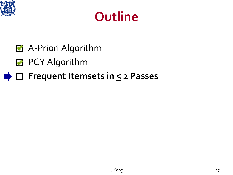

#### **Outline**

- **A**-Priori Algorithm
- **PCY Algorithm**
- **■** □ Frequent Itemsets in  $\leq$  2 Passes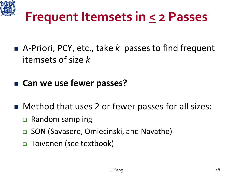

#### **Frequent Itemsets in < 2 Passes**

- A-Priori, PCY, etc., take *k* passes to find frequent itemsets of size *k*
- **Can we use fewer passes?**
- Method that uses 2 or fewer passes for all sizes:
	- **□** Random sampling
	- **□ SON (Savasere, Omiecinski, and Navathe)**
	- Toivonen (see textbook)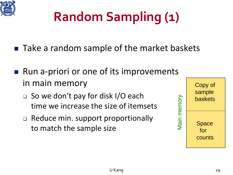

## **Random Sampling (1)**

- Take a random sample of the market baskets
- Run a-priori or one of its improvements in main memory
	- □ So we don't pay for disk I/O each time we increase the size of itemsets
	- Reduce min. support proportionally to match the sample size

| memory | Copy of<br>sample<br>baskets |
|--------|------------------------------|
| lain   | Space<br>for<br>counts       |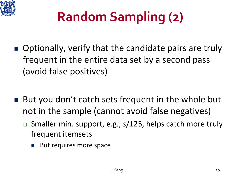

## **Random Sampling (2)**

- Optionally, verify that the candidate pairs are truly frequent in the entire data set by a second pass (avoid false positives)
- But you don't catch sets frequent in the whole but not in the sample (cannot avoid false negatives)
	- Smaller min. support, e.g., *s*/125, helps catch more truly frequent itemsets
		- But requires more space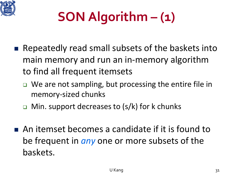

## **SON Algorithm – (1)**

- Repeatedly read small subsets of the baskets into main memory and run an in-memory algorithm to find all frequent itemsets
	- □ We are not sampling, but processing the entire file in memory-sized chunks
	- **D** Min. support decreases to  $(s/k)$  for k chunks
- An itemset becomes a candidate if it is found to be frequent in *any* one or more subsets of the baskets.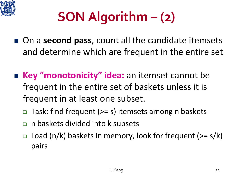

## **SON Algorithm – (2)**

- On a **second pass**, count all the candidate itemsets and determine which are frequent in the entire set
- **Key "monotonicity" idea:** an itemset cannot be frequent in the entire set of baskets unless it is frequent in at least one subset.
	- $\Box$  Task: find frequent (>= s) itemsets among n baskets
	- n baskets divided into k subsets
	- $\Box$  Load (n/k) baskets in memory, look for frequent ( $>= s/k$ ) pairs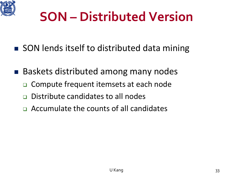

#### **SON – Distributed Version**

- SON lends itself to distributed data mining
- Baskets distributed among many nodes
	- □ Compute frequent itemsets at each node
	- □ Distribute candidates to all nodes
	- Accumulate the counts of all candidates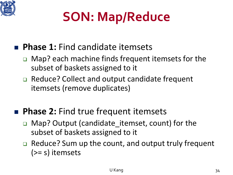

## **SON: Map/Reduce**

#### **Phase 1:** Find candidate itemsets

- □ Map? each machine finds frequent itemsets for the subset of baskets assigned to it
- □ Reduce? Collect and output candidate frequent itemsets (remove duplicates)

#### **Phase 2: Find true frequent itemsets**

- Map? Output (candidate\_itemset, count) for the subset of baskets assigned to it
- □ Reduce? Sum up the count, and output truly frequent (>= s) itemsets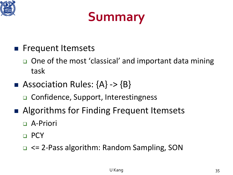

#### **Summary**

- **Filter Frequent Itemsets** 
	- □ One of the most 'classical' and important data mining task
- Association Rules:  ${A} > {B}$ 
	- □ Confidence, Support, Interestingness
- Algorithms for Finding Frequent Itemsets
	- □ A-Priori
	- **D** PCY
	- <= 2-Pass algorithm: Random Sampling, SON